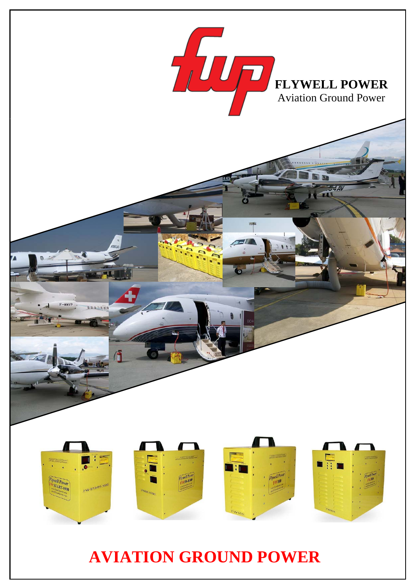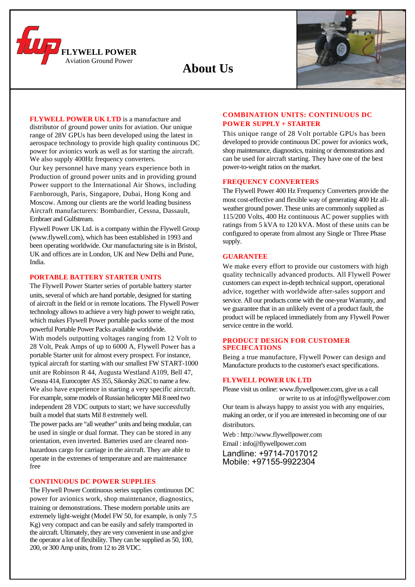

 **About Us** 



**FLYWELL POWER UK LTD** is a manufacture and distributor of ground power units for aviation. Our unique range of 28V GPUs has been developed using the latest in aerospace technology to provide high quality continuous DC power for avionics work as well as for starting the aircraft. We also supply 400Hz frequency converters.

Our key personnel have many years experience both in Production of ground power units and in providing ground Power support to the International Air Shows, including Farnborough, Paris, Singapore, Dubai, Hong Kong and Moscow. Among our clients are the world leading business Aircraft manufacturers: Bombardier, Cessna, Dassault, Embraer and Gulfstream.

Flywell Power UK Ltd. is a company within the Flywell Group (www.flywell.com), which has been established in 1993 and been operating worldwide. Our manufacturing site is in Bristol, UK and offices are in London, UK and New Delhi and Pune, India.

#### **PORTABLE BATTERY STARTER UNITS**

The Flywell Power Starter series of portable battery starter units, several of which are hand portable, designed for starting of aircraft in the field or in remote locations. The Flywell Power technology allows to achieve a very high power to weight ratio, which makes Flywell Power portable packs some of the most powerful Portable Power Packs available worldwide.

With models outputting voltages ranging from 12 Volt to 28 Volt, Peak Amps of up to 6000 A, Flywell Power has a portable Starter unit for almost every prospect. For instance, typical aircraft for starting with our smallest FW START-1000 unit are Robinson R 44, Augusta Westland A109, Bell 47, Cessna 414, Eurocopter AS 355, Sikorsky 262C to name a few. We also have experience in starting a very specific aircraft. For example, some models of Russian helicopter Mil 8 need two independent 28 VDC outputs to start; we have successfully built a model that starts Mil 8 extremely well.

The power packs are "all weather" units and being modular, can be used in single or dual format. They can be stored in any orientation, even inverted. Batteries used are cleared nonhazardous cargo for carriage in the aircraft. They are able to operate in the extremes of temperature and are maintenance free

### **CONTINUOUS DC POWER SUPPLIES**

The Flywell Power Continuous series supplies continuous DC power for avionics work, shop maintenance, diagnostics, training or demonstrations. These modern portable units are extremely light-weight (Model FW 50, for example, is only 7.5 Kg) very compact and can be easily and safely transported in the aircraft. Ultimately, they are very convenient in use and give the operator a lot of flexibility. They can be supplied as 50, 100, 200, or 300 Amp units, from 12 to 28 VDC.

### **COMBINATION UNITS: CONTINUOUS DC POWER SUPPLY + STARTER**

This unique range of 28 Volt portable GPUs has been developed to provide continuous DC power for avionics work, shop maintenance, diagnostics, training or demonstrations and can be used for aircraft starting. They have one of the best power-to-weight ratios on the market.

### **FREQUENCY CONVERTERS**

The Flywell Power 400 Hz Frequency Converters provide the most cost-effective and flexible way of generating 400 Hz allweather ground power. These units are commonly supplied as 115/200 Volts, 400 Hz continuous AC power supplies with ratings from 5 kVA to 120 kVA. Most of these units can be configured to operate from almost any Single or Three Phase supply.

### **GUARANTEE**

We make every effort to provide our customers with high quality technically advanced products. All Flywell Power customers can expect in-depth technical support, operational advice, together with worldwide after-sales support and service. All our products come with the one-year Warranty, and we guarantee that in an unlikely event of a product fault, the product will be replaced immediately from any Flywell Power service centre in the world.

### **PRODUCT DESIGN FOR CUSTOMER SPECIFCATIONS**

Being a true manufacture, Flywell Power can design and Manufacture products to the customer's exact specifications.

### **FLYWELL POWER UK LTD**

Please visit us online: www.flywellpower.com, give us a call or write to us at info@flywellpower.com

Our team is always happy to assist you with any enquiries, making an order, or if you are interested in becoming one of our distributors.

Web : http://www.flywellpower.com Email : info@flywellpower.com

Landline: +9714-7017012 Mobile: +97155-9922304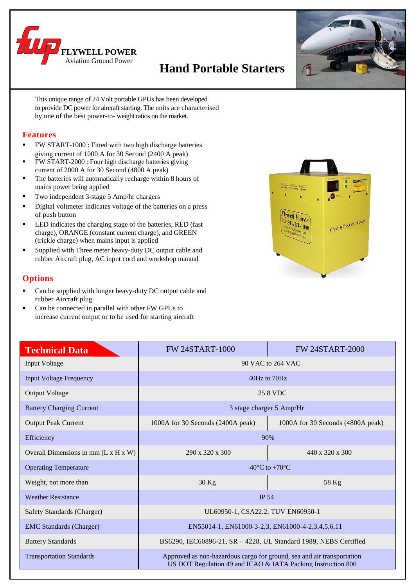

# **Hand Portable Starters**



This unique range of 24 Volt portable GPUs has been developed to provide DC power for aircraft starting. The units are characterised by one of the best power-to- weight ratios on the market.

### **Features**

- FW START-1000 : Fitted with two high discharge batteries giving current of 1000 A for 30 Second (2400 A peak)
- FW START-2000 : Four high discharge batteries giving current of 2000 A for 30 Second (4800 A peak)
- The batteries will automatically recharge within 8 hours of mains power being applied
- Two independent 3-stage 5 Amp/hr chargers
- Digital voltmeter indicates voltage of the batteries on a press of push button
- LED indicates the charging stage of the batteries, RED (fast charge), ORANGE (constant current charge), and GREEN (trickle charge) when mains input is applied
- Supplied with Three meter heavy-duty DC output cable and rubber Aircraft plug, AC input cord and workshop manual

## **Options**

- Can be supplied with longer heavy-duty DC output cable and rubber Aircraft plug
- Can be connected in parallel with other FW GPUs to increase current output or to be used for starting aircraft

| Aviation Ground Power<br>28VDC Starting Power<br>٥<br>$\bullet$<br>Ĝ.                | VOLTE<br>ħ<br>ø |
|--------------------------------------------------------------------------------------|-----------------|
| Flywell Power<br><b>FW START-1000</b><br>www.flywellpower.com<br>hte of a clever com | FW START-1000   |
|                                                                                      |                 |

| <b>Technical Data</b>                            | <b>FW 24START-1000</b><br><b>FW 24START-2000</b>                                                                                       |                                   |  |
|--------------------------------------------------|----------------------------------------------------------------------------------------------------------------------------------------|-----------------------------------|--|
| <b>Input Voltage</b>                             | 90 VAC to 264 VAC                                                                                                                      |                                   |  |
| <b>Input Voltage Frequency</b>                   | 40Hz to 70Hz                                                                                                                           |                                   |  |
| <b>Output Voltage</b>                            | 25.8 VDC                                                                                                                               |                                   |  |
| <b>Battery Charging Current</b>                  | 3 stage charger 5 Amp/Hr                                                                                                               |                                   |  |
| <b>Output Peak Current</b>                       | 1000A for 30 Seconds (2400A peak)                                                                                                      | 1000A for 30 Seconds (4800A peak) |  |
| Efficiency                                       | 90%                                                                                                                                    |                                   |  |
| Overall Dimensions in mm $(L \times H \times W)$ | $290 \times 320 \times 300$                                                                                                            | $440 \times 320 \times 300$       |  |
| <b>Operating Temperature</b>                     | -40 $^{\circ}$ C to +70 $^{\circ}$ C                                                                                                   |                                   |  |
| Weight, not more than                            | $30$ Kg                                                                                                                                | 58 Kg                             |  |
| <b>Weather Resistance</b>                        | <b>IP 54</b>                                                                                                                           |                                   |  |
| Safety Standards (Charger)                       | UL60950-1, CSA22.2, TUV EN60950-1                                                                                                      |                                   |  |
| <b>EMC</b> Standards (Charger)                   | EN55014-1, EN61000-3-2,3, EN61000-4-2,3,4,5,6,11                                                                                       |                                   |  |
| <b>Battery Standards</b>                         | BS6290, IEC60896-21, SR - 4228, UL Standard 1989, NEBS Certified                                                                       |                                   |  |
| <b>Transportation Standards</b>                  | Approved as non-hazardous cargo for ground, sea and air transportation<br>US DOT Regulation 49 and ICAO & IATA Packing Instruction 806 |                                   |  |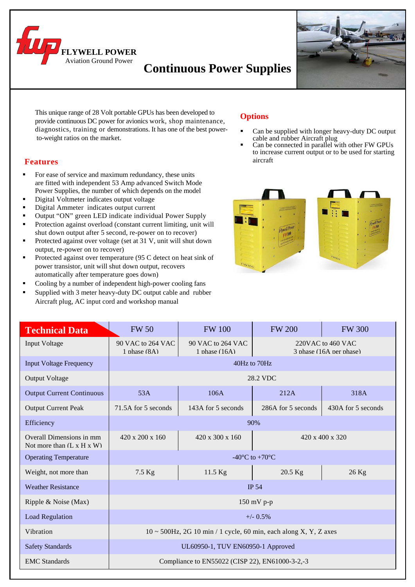

## **Continuous Power Supplies**



 This unique range of 28 Volt portable GPUs has been developed to provide continuous DC power for avionics work, shop maintenance, diagnostics, training or demonstrations. It has one of the best power to-weight ratios on the market.

## **Features**

- For ease of service and maximum redundancy, these units are fitted with independent 53 Amp advanced Switch Mode Power Supplies, the number of which depends on the model
- Digital Voltmeter indicates output voltage
- Digital Ammeter indicates output current
- Output "ON" green LED indicate individual Power Supply
- Protection against overload (constant current limiting, unit will shut down output after 5 second, re-power on to recover)
- Protected against over voltage (set at 31 V, unit will shut down output, re-power on to recover)
- Protected against over temperature (95 C detect on heat sink of power transistor, unit will shut down output, recovers automatically after temperature goes down)
- Cooling by a number of independent high-power cooling fans
- Supplied with 3 meter heavy-duty DC output cable and rubber Aircraft plug, AC input cord and workshop manual

## **Options**

- Can be supplied with longer heavy-duty DC output cable and rubber Aircraft plug
- Can be connected in parallel with other FW GPUs to increase current output or to be used for starting aircraft



| <b>Technical Data</b>                                             | <b>FW 50</b>                                                                                                              | <b>FW 100</b>               | <b>FW 200</b>      | <b>FW 300</b>      |
|-------------------------------------------------------------------|---------------------------------------------------------------------------------------------------------------------------|-----------------------------|--------------------|--------------------|
| Input Voltage                                                     | 90 VAC to 264 VAC<br>90 VAC to 264 VAC<br>220VAC to 460 VAC<br>1 phase (8A)<br>3 phase (16A per phase)<br>1 phase $(16A)$ |                             |                    |                    |
| <b>Input Voltage Frequency</b>                                    | 40Hz to 70Hz                                                                                                              |                             |                    |                    |
| <b>Output Voltage</b>                                             | 28.2 VDC                                                                                                                  |                             |                    |                    |
| <b>Output Current Continuous</b>                                  | 53A                                                                                                                       | 106A                        | 212A               | 318A               |
| <b>Output Current Peak</b>                                        | 71.5A for 5 seconds                                                                                                       | 143A for 5 seconds          | 286A for 5 seconds | 430A for 5 seconds |
| Efficiency                                                        | 90%                                                                                                                       |                             |                    |                    |
| Overall Dimensions in mm<br>Not more than $(L \times H \times W)$ | 420 x 200 x 160                                                                                                           | $420 \times 300 \times 160$ |                    | 420 x 400 x 320    |
| <b>Operating Temperature</b>                                      | -40 $\mathrm{^{\circ}C}$ to +70 $\mathrm{^{\circ}C}$                                                                      |                             |                    |                    |
| Weight, not more than                                             | 7.5 Kg                                                                                                                    | 11.5 Kg                     | $20.5$ Kg          | $26$ Kg            |
| <b>Weather Resistance</b>                                         | <b>IP 54</b>                                                                                                              |                             |                    |                    |
| Ripple & Noise (Max)                                              | $150$ mV p-p                                                                                                              |                             |                    |                    |
| <b>Load Regulation</b>                                            | $+/-$ 0.5%                                                                                                                |                             |                    |                    |
| Vibration                                                         | $10 \sim 500$ Hz, 2G 10 min / 1 cycle, 60 min, each along X, Y, Z axes                                                    |                             |                    |                    |
| <b>Safety Standards</b>                                           | UL60950-1, TUV EN60950-1 Approved                                                                                         |                             |                    |                    |
| <b>EMC</b> Standards                                              | Compliance to EN55022 (CISP 22), EN61000-3-2,-3                                                                           |                             |                    |                    |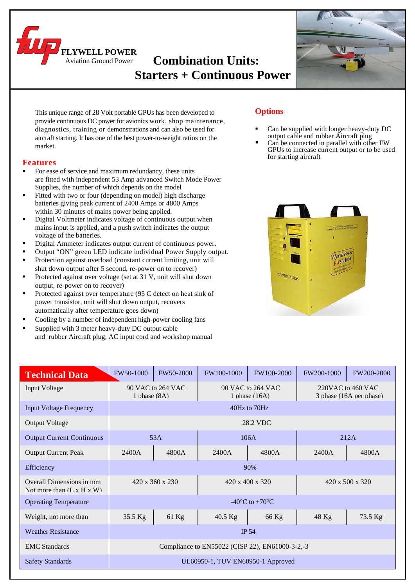**Combination Units: Starters + Continuous Power FINELL POWER** 



This unique range of 28 Volt portable GPUs has been developed to provide continuous DC power for avionics work, shop maintenance, diagnostics, training or demonstrations and can also be used for aircraft starting. It has one of the best power-to-weight ratios on the market.

### **Features**

- For ease of service and maximum redundancy, these units are fitted with independent 53 Amp advanced Switch Mode Power Supplies, the number of which depends on the model
- Fitted with two or four (depending on model) high discharge batteries giving peak current of 2400 Amps or 4800 Amps within 30 minutes of mains power being applied.

Aviation Ground Power

- Digital Voltmeter indicates voltage of continuous output when mains input is applied, and a push switch indicates the output voltage of the batteries.
- Digital Ammeter indicates output current of continuous power.
- Output "ON" green LED indicate individual Power Supply output.
- Protection against overload (constant current limiting, unit will shut down output after 5 second, re-power on to recover)
- Protected against over voltage (set at 31 V, unit will shut down output, re-power on to recover)
- Protected against over temperature (95 C detect on heat sink of power transistor, unit will shut down output, recovers automatically after temperature goes down)
- Cooling by a number of independent high-power cooling fans
- Supplied with 3 meter heavy-duty DC output cable and rubber Aircraft plug, AC input cord and workshop manual

## **Options**

- Can be supplied with longer heavy-duty DC output cable and rubber Aircraft plug
- Can be connected in parallel with other FW GPUs to increase current output or to be used for starting aircraft



| <b>Technical Data</b>                                             | FW50-1000                           | FW50-2000       | FW100-1000                                      | FW100-2000                                   | <b>FW200-1000</b>                            | FW200-2000      |
|-------------------------------------------------------------------|-------------------------------------|-----------------|-------------------------------------------------|----------------------------------------------|----------------------------------------------|-----------------|
| <b>Input Voltage</b>                                              | 90 VAC to 264 VAC<br>1 phase $(8A)$ |                 | 90 VAC to 264 VAC<br>1 phase $(16A)$            |                                              | 220VAC to 460 VAC<br>3 phase (16A per phase) |                 |
| <b>Input Voltage Frequency</b>                                    |                                     |                 |                                                 | 40Hz to 70Hz                                 |                                              |                 |
| <b>Output Voltage</b>                                             |                                     |                 |                                                 | 28.2 VDC                                     |                                              |                 |
| <b>Output Current Continuous</b>                                  | 53A                                 |                 | 106A                                            |                                              | 212A                                         |                 |
| <b>Output Current Peak</b>                                        | 2400A                               | 4800A           | 2400A                                           | 4800A                                        | 2400A                                        | 4800A           |
| Efficiency                                                        |                                     |                 |                                                 | 90%                                          |                                              |                 |
| Overall Dimensions in mm<br>Not more than $(L \times H \times W)$ |                                     | 420 x 360 x 230 |                                                 | 420 x 400 x 320                              |                                              | 420 x 500 x 320 |
| <b>Operating Temperature</b>                                      |                                     |                 |                                                 | -40 $\rm{^{\circ}C}$ to +70 $\rm{^{\circ}C}$ |                                              |                 |
| Weight, not more than                                             | 35.5 Kg                             | 61 Kg           | 40.5 Kg                                         | 66 Kg                                        | 48 Kg                                        | 73.5 Kg         |
| <b>Weather Resistance</b>                                         |                                     |                 |                                                 | <b>IP 54</b>                                 |                                              |                 |
| <b>EMC</b> Standards                                              |                                     |                 | Compliance to EN55022 (CISP 22), EN61000-3-2,-3 |                                              |                                              |                 |
| <b>Safety Standards</b>                                           |                                     |                 | UL60950-1, TUV EN60950-1 Approved               |                                              |                                              |                 |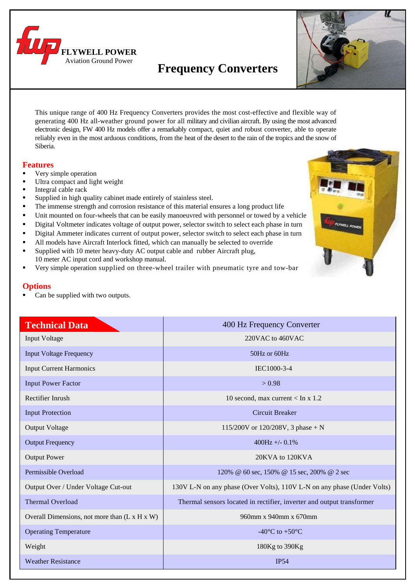

# **Frequency Converters**



This unique range of 400 Hz Frequency Converters provides the most cost-effective and flexible way of generating 400 Hz all-weather ground power for all military and civilian aircraft. By using the most advanced electronic design, FW 400 Hz models offer a remarkably compact, quiet and robust converter, able to operate reliably even in the most arduous conditions, from the heat of the desert to the rain of the tropics and the snow of Siberia.

### **Features**

- Very simple operation
- Ultra compact and light weight
- Integral cable rack
- Supplied in high quality cabinet made entirely of stainless steel.
- The immense strength and corrosion resistance of this material ensures a long product life
- Unit mounted on four-wheels that can be easily manoeuvred with personnel or towed by a vehicle
- Digital Voltmeter indicates voltage of output power, selector switch to select each phase in turn
- Digital Ammeter indicates current of output power, selector switch to select each phase in turn
- All models have Aircraft Interlock fitted, which can manually be selected to override
- Supplied with 10 meter heavy-duty AC output cable and rubber Aircraft plug, 10 meter AC input cord and workshop manual.
- Very simple operation supplied on three-wheel trailer with pneumatic tyre and tow-bar

## **Options**

Can be supplied with two outputs.



| <b>Technical Data</b>                         | 400 Hz Frequency Converter                                              |
|-----------------------------------------------|-------------------------------------------------------------------------|
| <b>Input Voltage</b>                          | 220VAC to 460VAC                                                        |
| <b>Input Voltage Frequency</b>                | 50Hz or 60Hz                                                            |
| <b>Input Current Harmonics</b>                | IEC1000-3-4                                                             |
| <b>Input Power Factor</b>                     | > 0.98                                                                  |
| Rectifier Inrush                              | 10 second, max current $\langle$ In x 1.2                               |
| <b>Input Protection</b>                       | <b>Circuit Breaker</b>                                                  |
| <b>Output Voltage</b>                         | 115/200V or 120/208V, 3 phase + N                                       |
| <b>Output Frequency</b>                       | 400Hz +/- $0.1\%$                                                       |
| <b>Output Power</b>                           | 20KVA to 120KVA                                                         |
| Permissible Overload                          | 120% @ 60 sec, 150% @ 15 sec, 200% @ 2 sec                              |
| Output Over / Under Voltage Cut-out           | 130V L-N on any phase (Over Volts), 110V L-N on any phase (Under Volts) |
| Thermal Overload                              | Thermal sensors located in rectifier, inverter and output transformer   |
| Overall Dimensions, not more than (L x H x W) | 960mm x 940mm x 670mm                                                   |
| <b>Operating Temperature</b>                  | -40 $\rm{^{\circ}C}$ to +50 $\rm{^{\circ}C}$                            |
| Weight                                        | 180Kg to 390Kg                                                          |
| <b>Weather Resistance</b>                     | <b>IP54</b>                                                             |
|                                               |                                                                         |